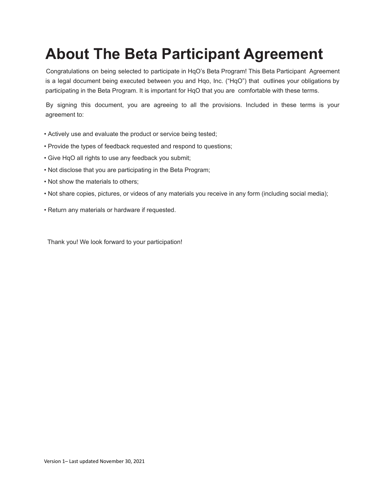## **About The Beta Participant Agreement**

Congratulations on being selected to participate in HqO's Beta Program! This Beta Participant Agreement is a legal document being executed between you and Hqo, Inc. ("HqO") that outlines your obligations by participating in the Beta Program. It is important for HqO that you are comfortable with these terms.

By signing this document, you are agreeing to all the provisions. Included in these terms is your agreement to:

- Actively use and evaluate the product or service being tested;
- Provide the types of feedback requested and respond to questions;
- Give HqO all rights to use any feedback you submit;
- Not disclose that you are participating in the Beta Program;
- Not show the materials to others;
- Not share copies, pictures, or videos of any materials you receive in any form (including social media);
- Return any materials or hardware if requested.

Thank you! We look forward to your participation!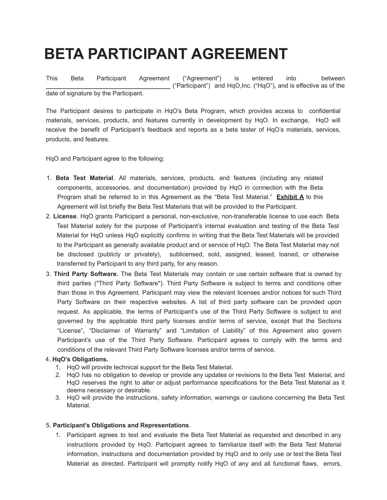# **BETA PARTICIPANT AGREEMENT**

This Beta Participant Agreement ("Agreement") is entered into between **\_\_\_\_\_\_\_\_\_\_\_\_\_\_\_\_\_\_\_\_\_\_\_\_\_\_\_\_\_\_\_\_\_\_\_\_** ("Participant") and HqO,Inc. ("HqO"), and is effective as of the date of signature by the Participant.

The Participant desires to participate in HqO's Beta Program, which provides access to confidential materials, services, products, and features currently in development by HqO. In exchange, HqO will receive the benefit of Participant's feedback and reports as a beta tester of HqO's materials, services, products, and features.

HqO and Participant agree to the following:

- 1. **Beta Test Material**. All materials, services, products, and features (including any related components, accessories, and documentation) provided by HqO in connection with the Beta Program shall be referred to in this Agreement as the "Beta Test Material." **Exhibit A** to this Agreement will list briefly the Beta Test Materials that will be provided to the Participant.
- 2. **License**. HqO grants Participant a personal, non-exclusive, non-transferable license to use each Beta Test Material solely for the purpose of Participant's internal evaluation and testing of the Beta Test Material for HqO unless HqO explicitly confirms in writing that the Beta Test Materials will be provided to the Participant as generally available product and or service of HqO. The Beta Test Material may not be disclosed (publicly or privately), sublicensed, sold, assigned, leased, loaned, or otherwise transferred by Participant to any third party, for any reason.
- 3. **Third Party Software.** The Beta Test Materials may contain or use certain software that is owned by third parties ("Third Party Software"). Third Party Software is subject to terms and conditions other than those in this Agreement. Participant may view the relevant licenses and/or notices for such Third Party Software on their respective websites. A list of third party software can be provided upon request. As applicable, the terms of Participant's use of the Third Party Software is subject to and governed by the applicable third party licenses and/or terms of service, except that the Sections "License", "Disclaimer of Warranty" and "Limitation of Liability" of this Agreement also govern Participant's use of the Third Party Software. Participant agrees to comply with the terms and conditions of the relevant Third Party Software licenses and/or terms of service.

### 4. **HqO's Obligations.**

- 1. HqO will provide technical support for the Beta Test Material.
- 2. HqO has no obligation to develop or provide any updates or revisions to the Beta Test Material, and HqO reserves the right to alter or adjust performance specifications for the Beta Test Material as it deems necessary or desirable.
- 3. HqO will provide the instructions, safety information, warnings or cautions concerning the Beta Test Material.

### 5. **Participant's Obligations and Representations**.

1. Participant agrees to test and evaluate the Beta Test Material as requested and described in any instructions provided by HqO. Participant agrees to familiarize itself with the Beta Test Material information, instructions and documentation provided by HqO and to only use or test the Beta Test Material as directed. Participant will promptly notify HqO of any and all functional flaws, errors,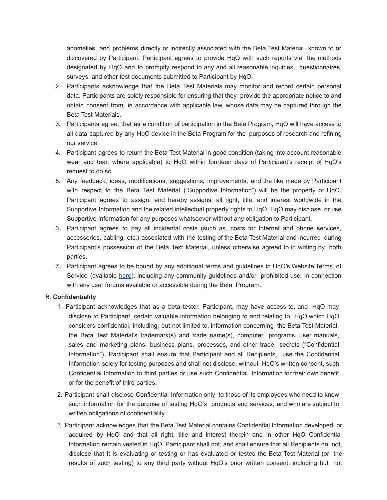anomalies, and problems directly or indirectly associated with the Beta Test Material known to or discovered by Participant. Participant agrees to provide HqO with such reports via the methods designated by HqO and to promptly respond to any and all reasonable inquiries, questionnaires, surveys, and other test documents submitted to Participant by HqO.

- 2. Participants acknowledge that the Beta Test Materials may monitor and record certain personal data. Participants are solely responsible for ensuring that they provide the appropriate notice to and obtain consent from, in accordance with applicable law, whose data may be captured through the Beta Test Materials.
- 3. Participants agree, that as a condition of participation in the Beta Program, HqO will have access to all data captured by any HqO device in the Beta Program for the purposes of research and refining our service.
- 4. Participant agrees to return the Beta Test Material in good condition (taking into account reasonable wear and tear, where applicable) to HqO within fourteen days of Participant's receipt of HqO's request to do so.
- 5. Any feedback, ideas, modifications, suggestions, improvements, and the like made by Participant with respect to the Beta Test Material ("Supportive Information") will be the property of HqO. Participant agrees to assign, and hereby assigns, all right, title, and interest worldwide in the Supportive Information and the related intellectual property rights to HqO. HqO may disclose or use Supportive Information for any purposes whatsoever without any obligation to Participant.
- 6. Participant agrees to pay all incidental costs (such as, costs for Internet and phone services, accessories, cabling, etc.) associated with the testing of the Beta Test Material and incurred during Participant's possession of the Beta Test Material, unless otherwise agreed to in writing by both parties.
- 7. Participant agrees to be bound by any additional terms and guidelines in HqO's Website Terms of Service (available [here](https://www.hqo.com/wp-content/uploads/2021/09/8-19-21-hqo-terms-and-conditions-of-use.pdf)), including any community guidelines and/or prohibited use, in connection with any user forums available or accessible during the Beta Program.

### 6. **Confidentiality**

- 1. Participant acknowledges that as a beta tester, Participant, may have access to, and HqO may disclose to Participant, certain valuable information belonging to and relating to HqO which HqO considers confidential, including, but not limited to, information concerning the Beta Test Material, the Beta Test Material's trademark(s) and trade name(s), computer programs, user manuals, sales and marketing plans, business plans, processes, and other trade secrets ("Confidential Information"). Participant shall ensure that Participant and all Recipients, use the Confidential Information solely for testing purposes and shall not disclose, without HqO's written consent, such Confidential Information to third parties or use such Confidential Information for their own benefit or for the benefit of third parties.
- 2. Participant shall disclose Confidential Information only to those of its employees who need to know such information for the purpose of testing HqO's products and services, and who are subject to written obligations of confidentiality.
- 3. Participant acknowledges that the Beta Test Material contains Confidential Information developed or acquired by HqO and that all right, title and interest therein and in other HqO Confidential Information remain vested in HqO. Participant shall not, and shall ensure that all Recipients do not, disclose that it is evaluating or testing or has evaluated or tested the Beta Test Material (or the results of such testing) to any third party without HqO's prior written consent, including but not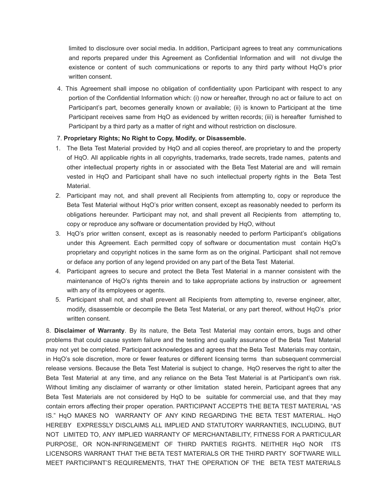limited to disclosure over social media. In addition, Participant agrees to treat any communications and reports prepared under this Agreement as Confidential Information and will not divulge the existence or content of such communications or reports to any third party without HqO's prior written consent.

4. This Agreement shall impose no obligation of confidentiality upon Participant with respect to any portion of the Confidential Information which: (i) now or hereafter, through no act or failure to act on Participant's part, becomes generally known or available; (ii) is known to Participant at the time Participant receives same from HqO as evidenced by written records; (iii) is hereafter furnished to Participant by a third party as a matter of right and without restriction on disclosure.

### 7. **Proprietary Rights; No Right to Copy, Modify, or Disassemble.**

- 1. The Beta Test Material provided by HqO and all copies thereof, are proprietary to and the property of HqO. All applicable rights in all copyrights, trademarks, trade secrets, trade names, patents and other intellectual property rights in or associated with the Beta Test Material are and will remain vested in HqO and Participant shall have no such intellectual property rights in the Beta Test Material.
- 2. Participant may not, and shall prevent all Recipients from attempting to, copy or reproduce the Beta Test Material without HqO's prior written consent, except as reasonably needed to perform its obligations hereunder. Participant may not, and shall prevent all Recipients from attempting to, copy or reproduce any software or documentation provided by HqO, without
- 3. HqO's prior written consent, except as is reasonably needed to perform Participant's obligations under this Agreement. Each permitted copy of software or documentation must contain HqO's proprietary and copyright notices in the same form as on the original. Participant shall not remove or deface any portion of any legend provided on any part of the Beta Test Material.
- 4. Participant agrees to secure and protect the Beta Test Material in a manner consistent with the maintenance of HqO's rights therein and to take appropriate actions by instruction or agreement with any of its employees or agents.
- 5. Participant shall not, and shall prevent all Recipients from attempting to, reverse engineer, alter, modify, disassemble or decompile the Beta Test Material, or any part thereof, without HqO's prior written consent.

8. **Disclaimer of Warranty**. By its nature, the Beta Test Material may contain errors, bugs and other problems that could cause system failure and the testing and quality assurance of the Beta Test Material may not yet be completed. Participant acknowledges and agrees that the Beta Test Materials may contain, in HqO's sole discretion, more or fewer features or different licensing terms than subsequent commercial release versions. Because the Beta Test Material is subject to change, HqO reserves the right to alter the Beta Test Material at any time, and any reliance on the Beta Test Material is at Participant's own risk. Without limiting any disclaimer of warranty or other limitation stated herein, Participant agrees that any Beta Test Materials are not considered by HqO to be suitable for commercial use, and that they may contain errors affecting their proper operation. PARTICIPANT ACCEPTS THE BETA TEST MATERIAL "AS IS." HqO MAKES NO WARRANTY OF ANY KIND REGARDING THE BETA TEST MATERIAL. HqO HEREBY EXPRESSLY DISCLAIMS ALL IMPLIED AND STATUTORY WARRANTIES, INCLUDING, BUT NOT LIMITED TO, ANY IMPLIED WARRANTY OF MERCHANTABILITY, FITNESS FOR A PARTICULAR PURPOSE, OR NON-INFRINGEMENT OF THIRD PARTIES RIGHTS. NEITHER HqO NOR ITS LICENSORS WARRANT THAT THE BETA TEST MATERIALS OR THE THIRD PARTY SOFTWARE WILL MEET PARTICIPANT'S REQUIREMENTS, THAT THE OPERATION OF THE BETA TEST MATERIALS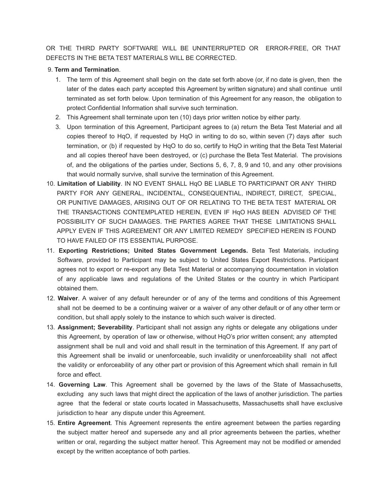OR THE THIRD PARTY SOFTWARE WILL BE UNINTERRUPTED OR ERROR-FREE, OR THAT DEFECTS IN THE BETA TEST MATERIALS WILL BE CORRECTED.

#### 9. **Term and Termination**.

- 1. The term of this Agreement shall begin on the date set forth above (or, if no date is given, then the later of the dates each party accepted this Agreement by written signature) and shall continue until terminated as set forth below. Upon termination of this Agreement for any reason, the obligation to protect Confidential Information shall survive such termination.
- 2. This Agreement shall terminate upon ten (10) days prior written notice by either party.
- 3. Upon termination of this Agreement, Participant agrees to (a) return the Beta Test Material and all copies thereof to HqO, if requested by HqO in writing to do so, within seven (7) days after such termination, or (b) if requested by HqO to do so, certify to HqO in writing that the Beta Test Material and all copies thereof have been destroyed, or (c) purchase the Beta Test Material. The provisions of, and the obligations of the parties under, Sections 5, 6, 7, 8, 9 and 10, and any other provisions that would normally survive, shall survive the termination of this Agreement.
- 10. **Limitation of Liability**. IN NO EVENT SHALL HqO BE LIABLE TO PARTICIPANT OR ANY THIRD PARTY FOR ANY GENERAL, INCIDENTAL, CONSEQUENTIAL, INDIRECT, DIRECT, SPECIAL, OR PUNITIVE DAMAGES, ARISING OUT OF OR RELATING TO THE BETA TEST MATERIAL OR THE TRANSACTIONS CONTEMPLATED HEREIN, EVEN IF HqO HAS BEEN ADVISED OF THE POSSIBILITY OF SUCH DAMAGES. THE PARTIES AGREE THAT THESE LIMITATIONS SHALL APPLY EVEN IF THIS AGREEMENT OR ANY LIMITED REMEDY SPECIFIED HEREIN IS FOUND TO HAVE FAILED OF ITS ESSENTIAL PURPOSE.
- 11. **Exporting Restrictions; United States Government Legends.** Beta Test Materials, including Software, provided to Participant may be subject to United States Export Restrictions. Participant agrees not to export or re-export any Beta Test Material or accompanying documentation in violation of any applicable laws and regulations of the United States or the country in which Participant obtained them.
- 12. **Waiver**. A waiver of any default hereunder or of any of the terms and conditions of this Agreement shall not be deemed to be a continuing waiver or a waiver of any other default or of any other term or condition, but shall apply solely to the instance to which such waiver is directed.
- 13. **Assignment; Severability**. Participant shall not assign any rights or delegate any obligations under this Agreement, by operation of law or otherwise, without HqO's prior written consent; any attempted assignment shall be null and void and shall result in the termination of this Agreement. If any part of this Agreement shall be invalid or unenforceable, such invalidity or unenforceability shall not affect the validity or enforceability of any other part or provision of this Agreement which shall remain in full force and effect.
- 14. **Governing Law**. This Agreement shall be governed by the laws of the State of Massachusetts, excluding any such laws that might direct the application of the laws of another jurisdiction. The parties agree that the federal or state courts located in Massachusetts, Massachusetts shall have exclusive jurisdiction to hear any dispute under this Agreement.
- 15. **Entire Agreement**. This Agreement represents the entire agreement between the parties regarding the subject matter hereof and supersede any and all prior agreements between the parties, whether written or oral, regarding the subject matter hereof. This Agreement may not be modified or amended except by the written acceptance of both parties.